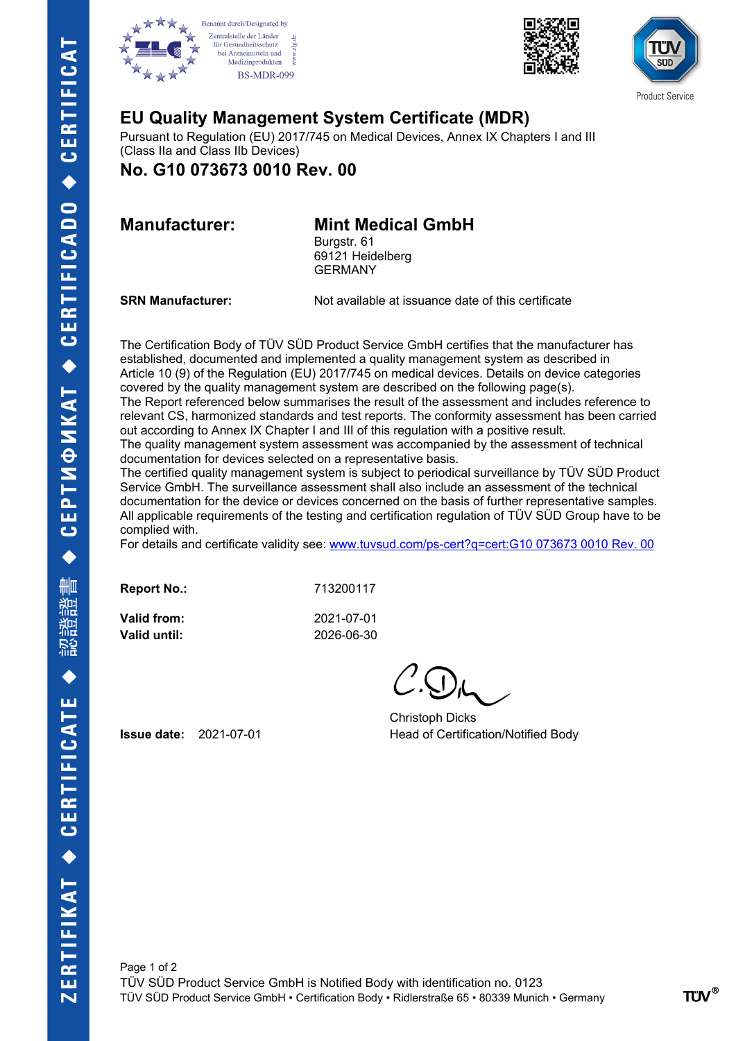







## **EU Quality Management System Certificate (MDR)**

Pursuant to Regulation (EU) 2017/745 on Medical Devices, Annex IX Chapters I and III (Class IIa and Class IIb Devices)

**No. G10 073673 0010 Rev. 00**

## **Manufacturer: Mint Medical GmbH**

Burgstr. 61 69121 Heidelberg GERMANY

**SRN Manufacturer:** Not available at issuance date of this certificate

The Certification Body of TÜV SÜD Product Service GmbH certifies that the manufacturer has established, documented and implemented a quality management system as described in Article 10 (9) of the Regulation (EU) 2017/745 on medical devices. Details on device categories covered by the quality management system are described on the following page(s). The Report referenced below summarises the result of the assessment and includes reference to relevant CS, harmonized standards and test reports. The conformity assessment has been carried out according to Annex IX Chapter I and III of this regulation with a positive result. The quality management system assessment was accompanied by the assessment of technical documentation for devices selected on a representative basis.

The certified quality management system is subject to periodical surveillance by TÜV SÜD Product Service GmbH. The surveillance assessment shall also include an assessment of the technical documentation for the device or devices concerned on the basis of further representative samples. All applicable requirements of the testing and certification regulation of TÜV SÜD Group have to be complied with.

For details and certificate validity see: [www.tuvsud.com/ps-cert?q=cert:G10 073673 0010 Rev. 00](http://www.tuvsud.com/ps-cert?q=cert:G10%20073673%200010%20Rev.%2000) 

| <b>Report No.:</b> | 713200117  |
|--------------------|------------|
| Valid from:        | 2021-07-01 |
| Valid until:       | 2026-06-30 |

Christoph Dicks **Issue date:** 2021-07-01 Head of Certification/Notified Body